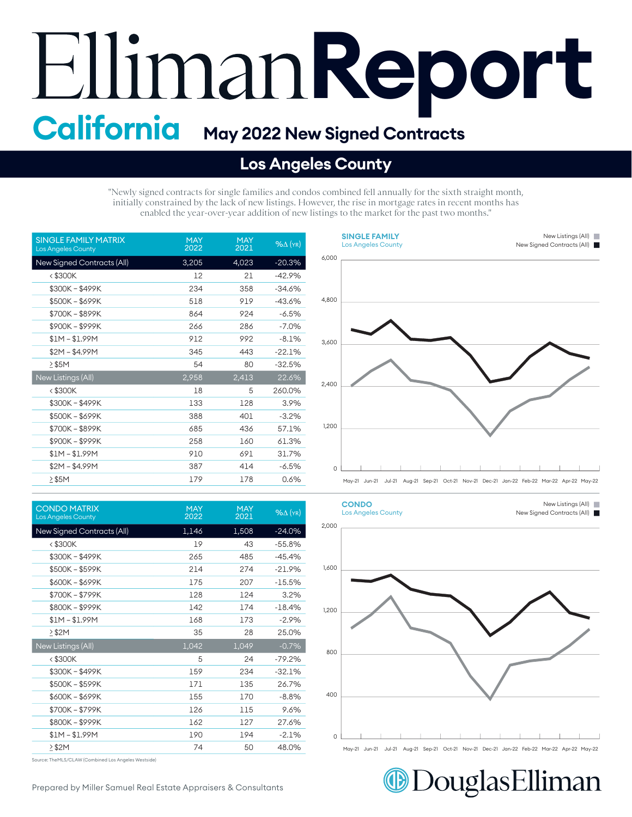## **Report California May 2022 New Signed Contracts**

## **Los Angeles County**

"Newly signed contracts for single families and condos combined fell annually for the sixth straight month, initially constrained by the lack of new listings. However, the rise in mortgage rates in recent months has enabled the year-over-year addition of new listings to the market for the past two months."

| <b>SINGLE FAMILY MATRIX</b><br><b>Los Angeles County</b> | <b>MAY</b><br>2022 | <b>MAY</b><br>2021 | $%$ $\Delta$ (YR) |
|----------------------------------------------------------|--------------------|--------------------|-------------------|
| New Signed Contracts (All)                               | 3,205              | 4,023              | $-20.3%$          |
| $<$ \$300K                                               | 12                 | 21                 | $-42.9%$          |
| \$300K - \$499K                                          | 234                | 358                | $-34.6%$          |
| \$500K-\$699K                                            | 518                | 919                | $-43.6%$          |
| \$700K - \$899K                                          | 864                | 924                | $-6.5%$           |
| \$900K - \$999K                                          | 266                | 286                | $-7.0%$           |
| $$1M - $1.99M$                                           | 912                | 992                | $-8.1%$           |
| $$2M - $4.99M$                                           | 345                | 443                | $-22.1%$          |
| $>$ \$5M                                                 | 54                 | 80                 | $-32.5%$          |
| New Listings (All)                                       | 2,958              | 2,413              | 22.6%             |
| $<$ \$300K                                               | 18                 | 5                  | 260.0%            |
| \$300K-\$499K                                            | 133                | 128                | 3.9%              |
| $$500K - $699K$                                          | 388                | 401                | $-3.2%$           |
| \$700K-\$899K                                            | 685                | 436                | 57.1%             |
| \$900K-\$999K                                            | 258                | 160                | 61.3%             |
| $$1M - $1.99M$                                           | 910                | 691                | 31.7%             |
| \$2M – \$4.99M                                           | 387                | 414                | -6.5%             |
| $>$ \$5M                                                 | 179                | 178                | 0.6%              |

| <b>CONDO MATRIX</b><br><b>Los Angeles County</b> | <b>MAY</b><br>2022 | <b>MAY</b><br>2021 | $%$ $\Delta$ (YR) |
|--------------------------------------------------|--------------------|--------------------|-------------------|
| New Signed Contracts (All)                       | 1,146              | 1,508              | $-24.0%$          |
| <\$300K                                          | 19                 | 43                 | $-55.8%$          |
| \$300K - \$499K                                  | 265                | 485                | $-45.4%$          |
| \$500K - \$599K                                  | 214                | 274                | $-21.9%$          |
| \$600K - \$699K                                  | 175                | 207                | $-15.5%$          |
| \$700K - \$799K                                  | 128                | 124                | 3.2%              |
| \$800K - \$999K                                  | 142                | 174                | $-18.4%$          |
| $$1M - $1.99M$                                   | 168                | 173                | $-2.9%$           |
| $>$ \$2M                                         | 35                 | 28                 | 25.0%             |
| New Listings (All)                               | 1,042              | 1,049              | $-0.7%$           |
| <\$300K                                          | 5                  | 24                 | $-79.2%$          |
| \$300K-\$499K                                    | 159                | 234                | $-32.1%$          |
| \$500K - \$599K                                  | 171                | 135                | 26.7%             |
| \$600K - \$699K                                  | 155                | 170                | $-8.8%$           |
| \$700K - \$799K                                  | 126                | 115                | 9.6%              |
| \$800K - \$999K                                  | 162                | 127                | 27.6%             |
| $$1M - $1.99M$                                   | 190                | 194                | $-2.1%$           |
| $\geq$ \$2M                                      | 74                 | 50                 | 48.0%             |

Source: TheMLS/CLAW (Combined Los Angeles Westside)





DouglasElliman

Prepared by Miller Samuel Real Estate Appraisers & Consultants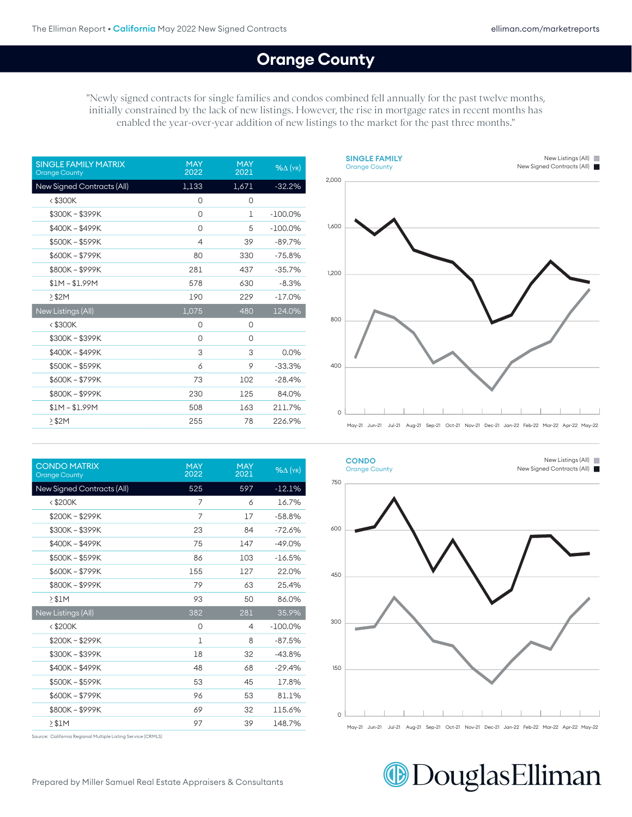## **Orange County**

400

"Newly signed contracts for single families and condos combined fell annually for the past twelve months, initially constrained by the lack of new listings. However, the rise in mortgage rates in recent months has enabled the year-over-year addition of new listings to the market for the past three months."

| <b>SINGLE FAMILY MATRIX</b><br><b>Orange County</b> | <b>MAY</b><br>2022 | <b>MAY</b><br>2021 | $%$ $\Delta$ (YR) |
|-----------------------------------------------------|--------------------|--------------------|-------------------|
| New Signed Contracts (All)                          | 1,133              | 1,671              | $-32.2%$          |
| $<$ \$300 $K$                                       | 0                  | 0                  |                   |
| \$300K-\$399K                                       | 0                  | 1                  | $-100.0\%$        |
| \$400K - \$499K                                     | 0                  | 5                  | $-100.0\%$        |
| \$500K - \$599K                                     | $\overline{4}$     | 39                 | $-89.7%$          |
| \$600K-\$799K                                       | 80                 | 330                | $-75.8%$          |
| \$800K-\$999K                                       | 281                | 437                | $-35.7%$          |
| $$1M - $1.99M$                                      | 578                | 630                | $-8.3%$           |
| $\geq$ \$2M                                         | 190                | 229                | $-17.0%$          |
| New Listings (All)                                  | 1,075              | 480                | 124.0%            |
| < \$300K                                            | 0                  | 0                  |                   |
| \$300K-\$399K                                       | 0                  | 0                  |                   |
| \$400K - \$499K                                     | 3                  | 3                  | 0.0%              |
| \$500K - \$599K                                     | 6                  | 9                  | $-33.3%$          |
| \$600K - \$799K                                     | 73                 | 102                | $-28.4%$          |
| \$800K-\$999K                                       | 230                | 125                | 84.0%             |
| $$1M - $1.99M$                                      | 508                | 163                | 211.7%            |
| $\geq$ \$2M                                         | 255                | 78                 | 226.9%            |

| <b>CONDO MATRIX</b><br><b>Orange County</b> | <b>MAY</b><br>2022 | <b>MAY</b><br>2021 | $%$ $\Delta$ (YR) |
|---------------------------------------------|--------------------|--------------------|-------------------|
| New Signed Contracts (All)                  | 525                | 597                | $-12.1%$          |
| $<$ \$200K                                  | 7                  | 6                  | 16.7%             |
| \$200K - \$299K                             | 7                  | 17                 | $-58.8%$          |
| \$300K - \$399K                             | 23                 | 84                 | $-72.6%$          |
| \$400K - \$499K                             | 75                 | 147                | $-49.0%$          |
| \$500K - \$599K                             | 86                 | 103                | $-16.5%$          |
| \$600K - \$799K                             | 155                | 127                | 22.0%             |
| \$800K-\$999K                               | 79                 | 63                 | 25.4%             |
| > \$1M                                      | 93                 | 50                 | 86.0%             |
| New Listings (All)                          | 382                | 281                | 35.9%             |
| $<$ \$200K                                  | 0                  | $\overline{4}$     | $-100.0\%$        |
| \$200K - \$299K                             | 1                  | 8                  | $-87.5%$          |
| \$300K - \$399K                             | 18                 | 32                 | $-43.8%$          |
| \$400K - \$499K                             | 48                 | 68                 | $-29.4%$          |
| \$500K - \$599K                             | 53                 | 45                 | 17.8%             |
| \$600K - \$799K                             | 96                 | 53                 | 81.1%             |
| \$800K-\$999K                               | 69                 | 32                 | 115.6%            |
| $\geq$ \$1M                                 | 97                 | 39                 | 148.7%            |





Source: California Regional Multiple Listing Service (CRMLS)